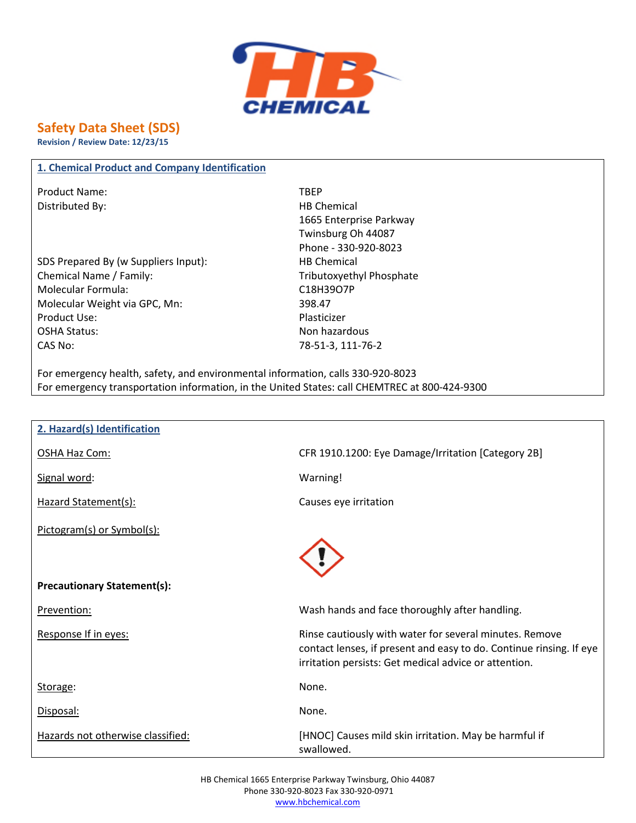

# **Safety Data Sheet (SDS)**

**Revision / Review Date: 12/23/15**

#### **1. Chemical Product and Company Identification**

Product Name: TBEP Distributed By: Notice and Security and Security HB Chemical

SDS Prepared By (w Suppliers Input): HB Chemical Chemical Name / Family: Tributoxyethyl Phosphate Molecular Formula: C18H39O7P Molecular Weight via GPC, Mn: 398.47 Product Use: Note and the Plasticizer Product Use: OSHA Status: Non hazardous CAS No: 78-51-3, 111-76-2

1665 Enterprise Parkway Twinsburg Oh 44087 Phone - 330-920-8023

For emergency health, safety, and environmental information, calls 330-920-8023 For emergency transportation information, in the United States: call CHEMTREC at 800-424-9300

| 2. Hazard(s) Identification        |                                                                                                                                                                                         |
|------------------------------------|-----------------------------------------------------------------------------------------------------------------------------------------------------------------------------------------|
| OSHA Haz Com:                      | CFR 1910.1200: Eye Damage/Irritation [Category 2B]                                                                                                                                      |
| Signal word:                       | Warning!                                                                                                                                                                                |
| Hazard Statement(s):               | Causes eye irritation                                                                                                                                                                   |
| Pictogram(s) or Symbol(s):         |                                                                                                                                                                                         |
|                                    |                                                                                                                                                                                         |
| <b>Precautionary Statement(s):</b> |                                                                                                                                                                                         |
| Prevention:                        | Wash hands and face thoroughly after handling.                                                                                                                                          |
| Response If in eyes:               | Rinse cautiously with water for several minutes. Remove<br>contact lenses, if present and easy to do. Continue rinsing. If eye<br>irritation persists: Get medical advice or attention. |
| Storage:                           | None.                                                                                                                                                                                   |
| Disposal:                          | None.                                                                                                                                                                                   |
| Hazards not otherwise classified:  | [HNOC] Causes mild skin irritation. May be harmful if<br>swallowed.                                                                                                                     |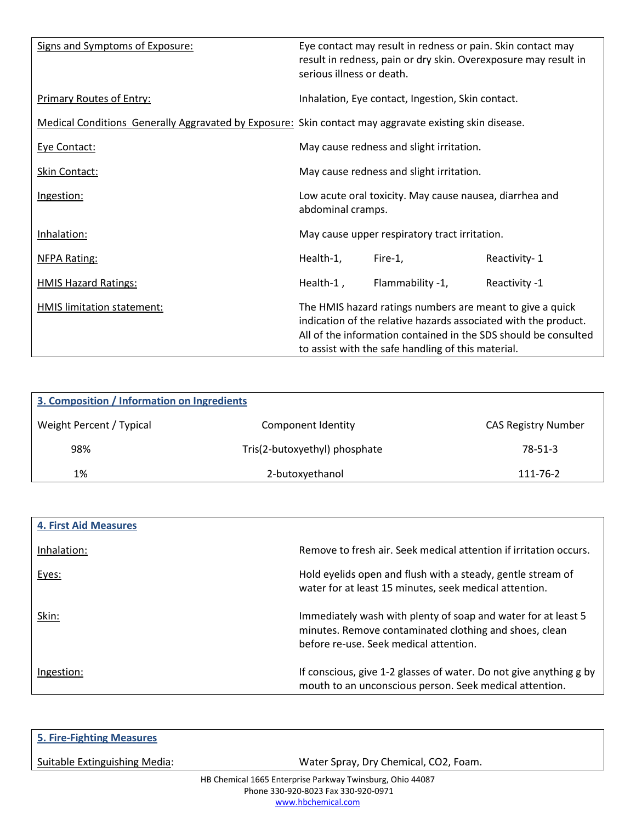| Signs and Symptoms of Exposure:                                                                        | serious illness or death. | Eye contact may result in redness or pain. Skin contact may<br>result in redness, pain or dry skin. Overexposure may result in                                                     |                                                                 |
|--------------------------------------------------------------------------------------------------------|---------------------------|------------------------------------------------------------------------------------------------------------------------------------------------------------------------------------|-----------------------------------------------------------------|
| <b>Primary Routes of Entry:</b>                                                                        |                           | Inhalation, Eye contact, Ingestion, Skin contact.                                                                                                                                  |                                                                 |
| Medical Conditions Generally Aggravated by Exposure: Skin contact may aggravate existing skin disease. |                           |                                                                                                                                                                                    |                                                                 |
| Eye Contact:                                                                                           |                           | May cause redness and slight irritation.                                                                                                                                           |                                                                 |
| Skin Contact:                                                                                          |                           | May cause redness and slight irritation.                                                                                                                                           |                                                                 |
| Ingestion:                                                                                             | abdominal cramps.         | Low acute oral toxicity. May cause nausea, diarrhea and                                                                                                                            |                                                                 |
| Inhalation:                                                                                            |                           | May cause upper respiratory tract irritation.                                                                                                                                      |                                                                 |
| <b>NFPA Rating:</b>                                                                                    | Health-1,                 | Fire-1,                                                                                                                                                                            | Reactivity-1                                                    |
| <b>HMIS Hazard Ratings:</b>                                                                            | Health-1,                 | Flammability -1,                                                                                                                                                                   | Reactivity -1                                                   |
| HMIS limitation statement:                                                                             |                           | The HMIS hazard ratings numbers are meant to give a quick<br>indication of the relative hazards associated with the product.<br>to assist with the safe handling of this material. | All of the information contained in the SDS should be consulted |

| 3. Composition / Information on Ingredients |                               |                            |
|---------------------------------------------|-------------------------------|----------------------------|
| Weight Percent / Typical                    | Component Identity            | <b>CAS Registry Number</b> |
| 98%                                         | Tris(2-butoxyethyl) phosphate | $78 - 51 - 3$              |
| 1%                                          | 2-butoxyethanol               | 111-76-2                   |

| <b>4. First Aid Measures</b> |                                                                                                                                                                   |
|------------------------------|-------------------------------------------------------------------------------------------------------------------------------------------------------------------|
| Inhalation:                  | Remove to fresh air. Seek medical attention if irritation occurs.                                                                                                 |
| Eyes:                        | Hold eyelids open and flush with a steady, gentle stream of<br>water for at least 15 minutes, seek medical attention.                                             |
| Skin:                        | Immediately wash with plenty of soap and water for at least 5<br>minutes. Remove contaminated clothing and shoes, clean<br>before re-use. Seek medical attention. |
| Ingestion:                   | If conscious, give 1-2 glasses of water. Do not give anything g by<br>mouth to an unconscious person. Seek medical attention.                                     |

| <b>5. Fire-Fighting Measures</b> |                                                           |  |
|----------------------------------|-----------------------------------------------------------|--|
| Suitable Extinguishing Media:    | Water Spray, Dry Chemical, CO2, Foam.                     |  |
|                                  | HB Chemical 1665 Enterprise Parkway Twinsburg, Ohio 44087 |  |
|                                  | Phone 330-920-8023 Fax 330-920-0971                       |  |
|                                  | www.hbchemical.com                                        |  |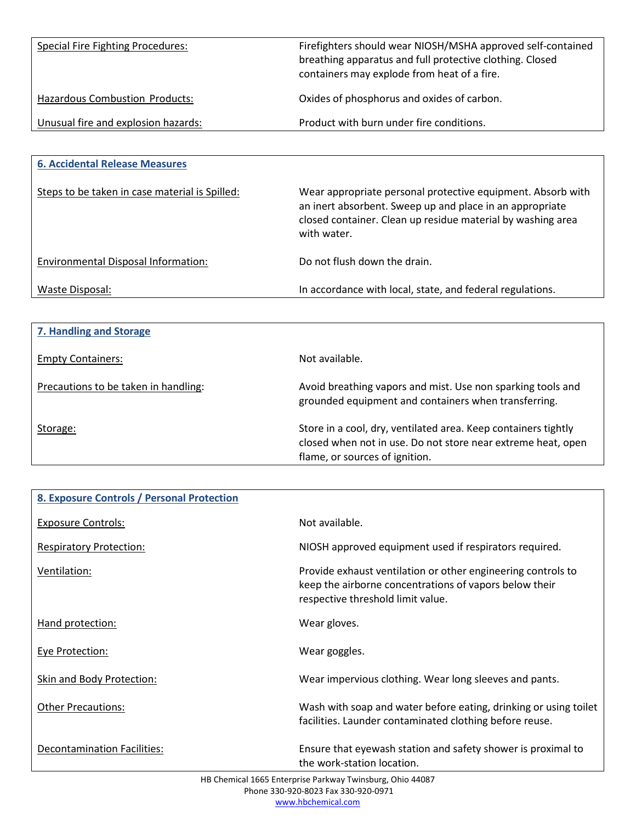| Special Fire Fighting Procedures:     | Firefighters should wear NIOSH/MSHA approved self-contained<br>breathing apparatus and full protective clothing. Closed<br>containers may explode from heat of a fire. |
|---------------------------------------|------------------------------------------------------------------------------------------------------------------------------------------------------------------------|
| <b>Hazardous Combustion Products:</b> | Oxides of phosphorus and oxides of carbon.                                                                                                                             |
| Unusual fire and explosion hazards:   | Product with burn under fire conditions.                                                                                                                               |

| <b>6. Accidental Release Measures</b>          |                                                                                                                                                                                                       |
|------------------------------------------------|-------------------------------------------------------------------------------------------------------------------------------------------------------------------------------------------------------|
| Steps to be taken in case material is Spilled: | Wear appropriate personal protective equipment. Absorb with<br>an inert absorbent. Sweep up and place in an appropriate<br>closed container. Clean up residue material by washing area<br>with water. |
| Environmental Disposal Information:            | Do not flush down the drain.                                                                                                                                                                          |
| Waste Disposal:                                | In accordance with local, state, and federal regulations.                                                                                                                                             |

| 7. Handling and Storage              |                                                                                                                                                                  |
|--------------------------------------|------------------------------------------------------------------------------------------------------------------------------------------------------------------|
| <b>Empty Containers:</b>             | Not available.                                                                                                                                                   |
| Precautions to be taken in handling: | Avoid breathing vapors and mist. Use non sparking tools and<br>grounded equipment and containers when transferring.                                              |
| Storage:                             | Store in a cool, dry, ventilated area. Keep containers tightly<br>closed when not in use. Do not store near extreme heat, open<br>flame, or sources of ignition. |

| 8. Exposure Controls / Personal Protection |                                                                                                                                                             |
|--------------------------------------------|-------------------------------------------------------------------------------------------------------------------------------------------------------------|
| <b>Exposure Controls:</b>                  | Not available.                                                                                                                                              |
| <b>Respiratory Protection:</b>             | NIOSH approved equipment used if respirators required.                                                                                                      |
| Ventilation:                               | Provide exhaust ventilation or other engineering controls to<br>keep the airborne concentrations of vapors below their<br>respective threshold limit value. |
| Hand protection:                           | Wear gloves.                                                                                                                                                |
| <b>Eye Protection:</b>                     | Wear goggles.                                                                                                                                               |
| Skin and Body Protection:                  | Wear impervious clothing. Wear long sleeves and pants.                                                                                                      |
| <b>Other Precautions:</b>                  | Wash with soap and water before eating, drinking or using toilet<br>facilities. Launder contaminated clothing before reuse.                                 |
| <b>Decontamination Facilities:</b>         | Ensure that eyewash station and safety shower is proximal to<br>the work-station location.                                                                  |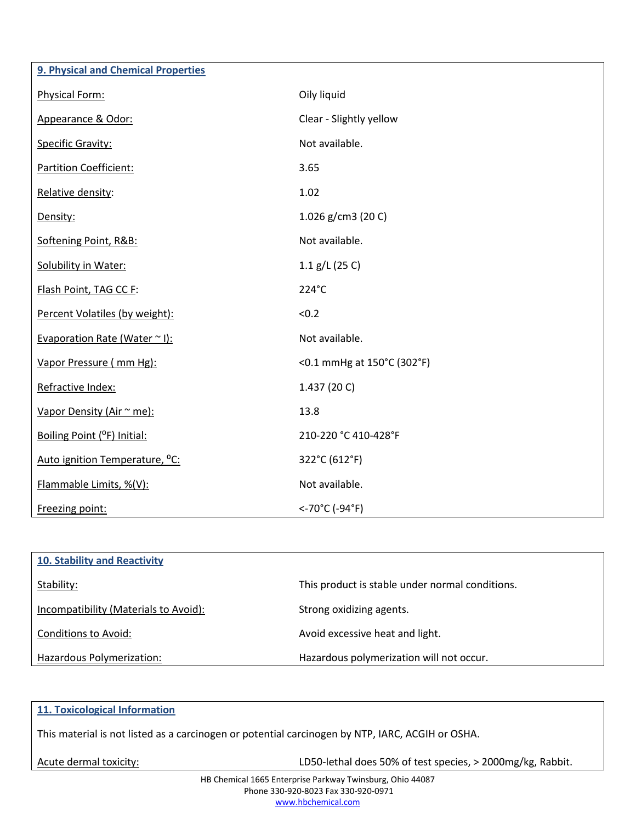| 9. Physical and Chemical Properties        |                            |
|--------------------------------------------|----------------------------|
| Physical Form:                             | Oily liquid                |
| Appearance & Odor:                         | Clear - Slightly yellow    |
| <b>Specific Gravity:</b>                   | Not available.             |
| <b>Partition Coefficient:</b>              | 3.65                       |
| Relative density:                          | 1.02                       |
| Density:                                   | 1.026 g/cm3 (20 C)         |
| Softening Point, R&B:                      | Not available.             |
| <b>Solubility in Water:</b>                | 1.1 $g/L$ (25 C)           |
| Flash Point, TAG CC F:                     | 224°C                      |
| Percent Volatiles (by weight):             | < 0.2                      |
| Evaporation Rate (Water $\sim$ I):         | Not available.             |
| Vapor Pressure (mm Hg):                    | <0.1 mmHg at 150°C (302°F) |
| Refractive Index:                          | 1.437 (20 C)               |
| Vapor Density (Air ~ me):                  | 13.8                       |
| Boiling Point (°F) Initial:                | 210-220 °C 410-428°F       |
| Auto ignition Temperature, <sup>o</sup> C: | 322°C (612°F)              |
| Flammable Limits, %(V):                    | Not available.             |
| Freezing point:                            | <-70°C (-94°F)             |

| 10. Stability and Reactivity          |                                                 |
|---------------------------------------|-------------------------------------------------|
| Stability:                            | This product is stable under normal conditions. |
| Incompatibility (Materials to Avoid): | Strong oxidizing agents.                        |
| <b>Conditions to Avoid:</b>           | Avoid excessive heat and light.                 |
| Hazardous Polymerization:             | Hazardous polymerization will not occur.        |

## **11. Toxicological Information**

This material is not listed as a carcinogen or potential carcinogen by NTP, IARC, ACGIH or OSHA.

Acute dermal toxicity:  $\blacksquare$  LD50-lethal does 50% of test species, > 2000mg/kg, Rabbit.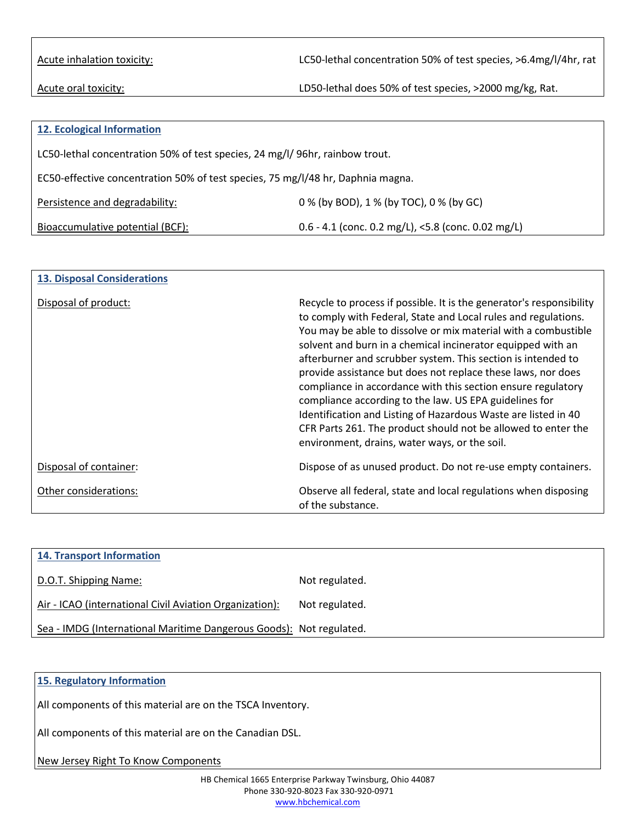Acute inhalation toxicity: LC50-lethal concentration 50% of test species, >6.4mg/l/4hr, rat

Acute oral toxicity:  $\blacksquare$  LD50-lethal does 50% of test species, >2000 mg/kg, Rat.

| 12. Ecological Information                                                      |                                                    |  |
|---------------------------------------------------------------------------------|----------------------------------------------------|--|
| LC50-lethal concentration 50% of test species, 24 mg/l/96hr, rainbow trout.     |                                                    |  |
| EC50-effective concentration 50% of test species, 75 mg/l/48 hr, Daphnia magna. |                                                    |  |
| Persistence and degradability:                                                  | 0 % (by BOD), 1 % (by TOC), 0 % (by GC)            |  |
| Bioaccumulative potential (BCF):                                                | 0.6 - 4.1 (conc. 0.2 mg/L), <5.8 (conc. 0.02 mg/L) |  |

| <b>13. Disposal Considerations</b> |                                                                                                                                                                                                                                                                                                                                                                                                                                                                                                                                                                                                                                                                                                                       |
|------------------------------------|-----------------------------------------------------------------------------------------------------------------------------------------------------------------------------------------------------------------------------------------------------------------------------------------------------------------------------------------------------------------------------------------------------------------------------------------------------------------------------------------------------------------------------------------------------------------------------------------------------------------------------------------------------------------------------------------------------------------------|
| Disposal of product:               | Recycle to process if possible. It is the generator's responsibility<br>to comply with Federal, State and Local rules and regulations.<br>You may be able to dissolve or mix material with a combustible<br>solvent and burn in a chemical incinerator equipped with an<br>afterburner and scrubber system. This section is intended to<br>provide assistance but does not replace these laws, nor does<br>compliance in accordance with this section ensure regulatory<br>compliance according to the law. US EPA guidelines for<br>Identification and Listing of Hazardous Waste are listed in 40<br>CFR Parts 261. The product should not be allowed to enter the<br>environment, drains, water ways, or the soil. |
| Disposal of container:             | Dispose of as unused product. Do not re-use empty containers.                                                                                                                                                                                                                                                                                                                                                                                                                                                                                                                                                                                                                                                         |
| Other considerations:              | Observe all federal, state and local regulations when disposing<br>of the substance.                                                                                                                                                                                                                                                                                                                                                                                                                                                                                                                                                                                                                                  |

| <b>14. Transport Information</b>                                    |                |
|---------------------------------------------------------------------|----------------|
| D.O.T. Shipping Name:                                               | Not regulated. |
| Air - ICAO (international Civil Aviation Organization):             | Not regulated. |
| Sea - IMDG (International Maritime Dangerous Goods): Not regulated. |                |

## **15. Regulatory Information**

All components of this material are on the TSCA Inventory.

All components of this material are on the Canadian DSL.

New Jersey Right To Know Components